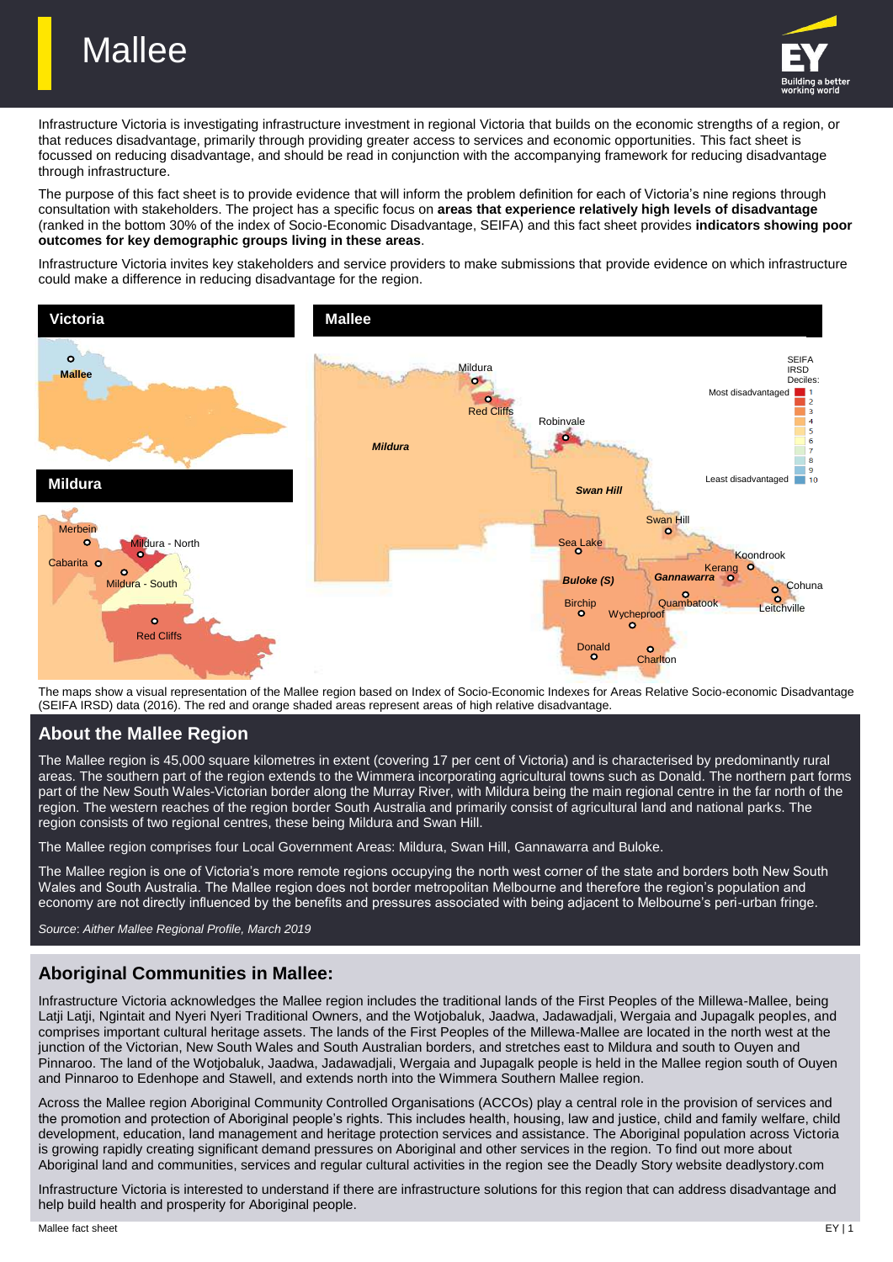



Infrastructure Victoria is investigating infrastructure investment in regional Victoria that builds on the economic strengths of a region, or that reduces disadvantage, primarily through providing greater access to services and economic opportunities. This fact sheet is focussed on reducing disadvantage, and should be read in conjunction with the accompanying framework for reducing disadvantage through infrastructure.

The purpose of this fact sheet is to provide evidence that will inform the problem definition for each of Victoria's nine regions through consultation with stakeholders. The project has a specific focus on **areas that experience relatively high levels of disadvantage** (ranked in the bottom 30% of the index of Socio-Economic Disadvantage, SEIFA) and this fact sheet provides **indicators showing poor outcomes for key demographic groups living in these areas**.

Infrastructure Victoria invites key stakeholders and service providers to make submissions that provide evidence on which infrastructure could make a difference in reducing disadvantage for the region.



The maps show a visual representation of the Mallee region based on Index of Socio-Economic Indexes for Areas Relative Socio-economic Disadvantage (SEIFA IRSD) data (2016). The red and orange shaded areas represent areas of high relative disadvantage.

# **About the Mallee Region**

The Mallee region is 45,000 square kilometres in extent (covering 17 per cent of Victoria) and is characterised by predominantly rural areas. The southern part of the region extends to the Wimmera incorporating agricultural towns such as Donald. The northern part forms part of the New South Wales-Victorian border along the Murray River, with Mildura being the main regional centre in the far north of the region. The western reaches of the region border South Australia and primarily consist of agricultural land and national parks. The region consists of two regional centres, these being Mildura and Swan Hill.

The Mallee region comprises four Local Government Areas: Mildura, Swan Hill, Gannawarra and Buloke.

The Mallee region is one of Victoria's more remote regions occupying the north west corner of the state and borders both New South Wales and South Australia. The Mallee region does not border metropolitan Melbourne and therefore the region's population and economy are not directly influenced by the benefits and pressures associated with being adjacent to Melbourne's peri-urban fringe.

*Source*: *Aither Mallee Regional Profile, March 2019*

# **Aboriginal Communities in Mallee:**

Infrastructure Victoria acknowledges the Mallee region includes the traditional lands of the First Peoples of the Millewa-Mallee, being Latji Latji, Ngintait and Nyeri Nyeri Traditional Owners, and the Wotjobaluk, Jaadwa, Jadawadjali, Wergaia and Jupagalk peoples, and comprises important cultural heritage assets. The lands of the First Peoples of the Millewa-Mallee are located in the north west at the junction of the Victorian, New South Wales and South Australian borders, and stretches east to Mildura and south to Ouyen and Pinnaroo. The land of the Wotjobaluk, Jaadwa, Jadawadjali, Wergaia and Jupagalk people is held in the Mallee region south of Ouyen and Pinnaroo to Edenhope and Stawell, and extends north into the Wimmera Southern Mallee region.

Across the Mallee region Aboriginal Community Controlled Organisations (ACCOs) play a central role in the provision of services and the promotion and protection of Aboriginal people's rights. This includes health, housing, law and justice, child and family welfare, child development, education, land management and heritage protection services and assistance. The Aboriginal population across Victoria is growing rapidly creating significant demand pressures on Aboriginal and other services in the region. To find out more about Aboriginal land and communities, services and regular cultural activities in the region see the Deadly Story website deadlystory.com

Infrastructure Victoria is interested to understand if there are infrastructure solutions for this region that can address disadvantage and help build health and prosperity for Aboriginal people.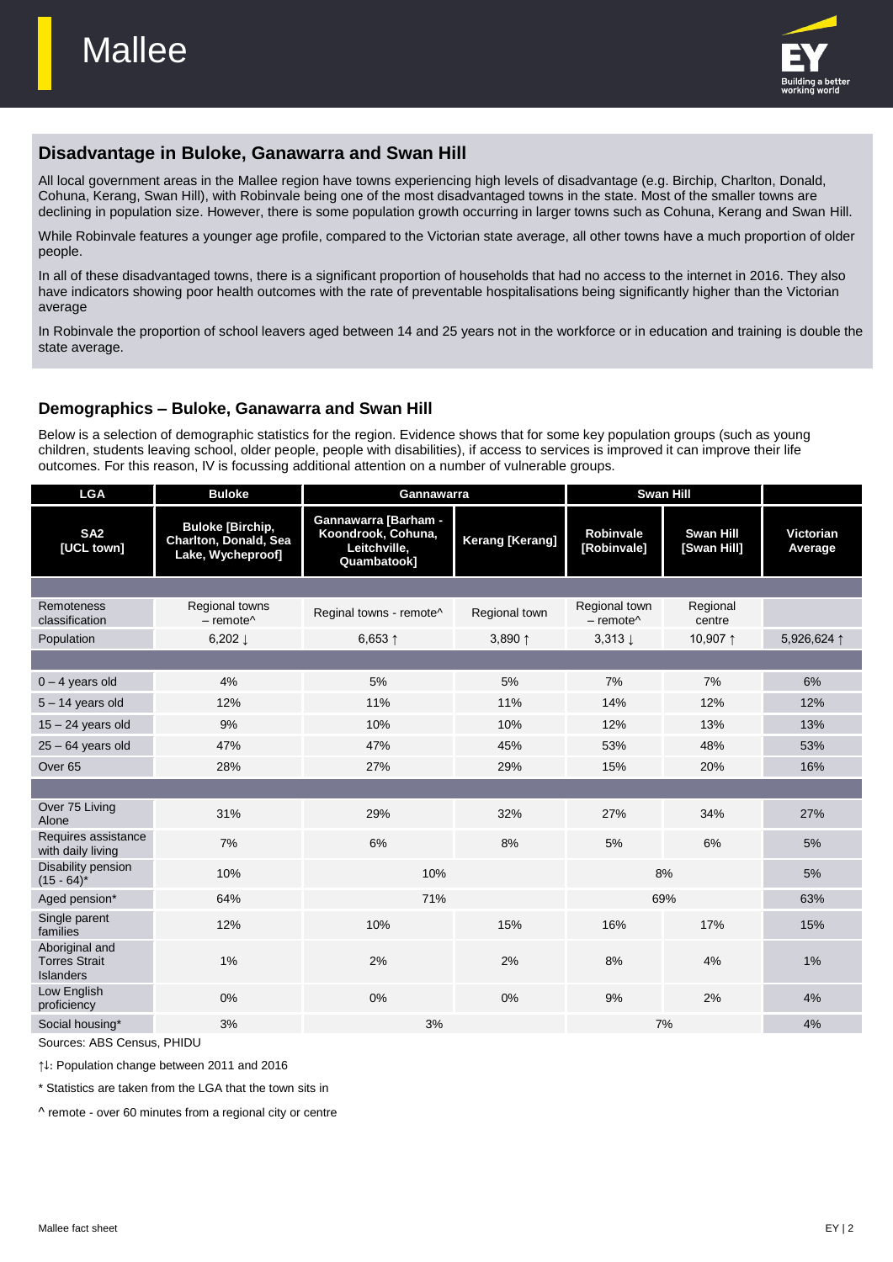

# **Disadvantage in Buloke, Ganawarra and Swan Hill**

All local government areas in the Mallee region have towns experiencing high levels of disadvantage (e.g. Birchip, Charlton, Donald, Cohuna, Kerang, Swan Hill), with Robinvale being one of the most disadvantaged towns in the state. Most of the smaller towns are declining in population size. However, there is some population growth occurring in larger towns such as Cohuna, Kerang and Swan Hill.

While Robinvale features a younger age profile, compared to the Victorian state average, all other towns have a much proportion of older people.

In all of these disadvantaged towns, there is a significant proportion of households that had no access to the internet in 2016. They also have indicators showing poor health outcomes with the rate of preventable hospitalisations being significantly higher than the Victorian average

In Robinvale the proportion of school leavers aged between 14 and 25 years not in the workforce or in education and training is double the state average.

## **Demographics – Buloke, Ganawarra and Swan Hill**

Below is a selection of demographic statistics for the region. Evidence shows that for some key population groups (such as young children, students leaving school, older people, people with disabilities), if access to services is improved it can improve their life outcomes. For this reason, IV is focussing additional attention on a number of vulnerable groups.

| <b>LGA</b>                                                 | <b>Buloke</b>                                                         | Swan Hill<br>Gannawarra                                                          |                        |                                                            |                                 |                             |
|------------------------------------------------------------|-----------------------------------------------------------------------|----------------------------------------------------------------------------------|------------------------|------------------------------------------------------------|---------------------------------|-----------------------------|
| SA <sub>2</sub><br>[UCL town]                              | <b>Buloke [Birchip,</b><br>Charlton, Donald, Sea<br>Lake, Wycheproof] | <b>Gannawarra [Barham -</b><br>Koondrook, Cohuna,<br>Leitchville,<br>Quambatook] | <b>Kerang [Kerang]</b> | <b>Robinvale</b><br>[Robinvale]                            | <b>Swan Hill</b><br>[Swan Hill] | <b>Victorian</b><br>Average |
|                                                            |                                                                       |                                                                                  |                        |                                                            |                                 |                             |
| Remoteness<br>classification                               | Regional towns<br>$-$ remote <sup><math>\wedge</math></sup>           | Reginal towns - remote^                                                          | Regional town          | Regional town<br>$-$ remote <sup><math>\wedge</math></sup> | Regional<br>centre              |                             |
| Population                                                 | $6,202 \perp$                                                         | 6,653 $1$                                                                        | 3,890 ↑                | $3.313 \perp$                                              | 10,907 1                        | 5,926,624 ↑                 |
|                                                            |                                                                       |                                                                                  |                        |                                                            |                                 |                             |
| $0 - 4$ years old                                          | 4%                                                                    | 5%                                                                               | 5%                     | 7%                                                         | 7%                              | 6%                          |
| $5 - 14$ years old                                         | 12%                                                                   | 11%                                                                              | 11%                    | 14%                                                        | 12%                             | 12%                         |
| $15 - 24$ years old                                        | 9%                                                                    | 10%                                                                              | 10%                    | 12%                                                        | 13%                             | 13%                         |
| $25 - 64$ years old                                        | 47%                                                                   | 47%                                                                              | 45%                    | 53%                                                        | 48%                             | 53%                         |
| Over <sub>65</sub>                                         | 28%                                                                   | 27%                                                                              | 29%                    | 15%                                                        | 20%                             | 16%                         |
|                                                            |                                                                       |                                                                                  |                        |                                                            |                                 |                             |
| Over 75 Living<br>Alone                                    | 31%                                                                   | 29%                                                                              | 32%                    | 27%                                                        | 34%                             | 27%                         |
| Requires assistance<br>with daily living                   | 7%                                                                    | 6%                                                                               | 8%                     | 5%                                                         | 6%                              | 5%                          |
| Disability pension<br>$(15 - 64)^*$                        | 10%                                                                   | 10%                                                                              |                        | 8%                                                         |                                 | 5%                          |
| Aged pension*                                              | 64%                                                                   | 71%                                                                              |                        | 69%                                                        |                                 | 63%                         |
| Single parent<br>families                                  | 12%                                                                   | 10%                                                                              | 15%                    | 16%                                                        | 17%                             | 15%                         |
| Aboriginal and<br><b>Torres Strait</b><br><b>Islanders</b> | 1%                                                                    | 2%                                                                               | 2%                     | 8%                                                         | 4%                              | $1\%$                       |
| Low English<br>proficiency                                 | 0%                                                                    | 0%                                                                               | $0\%$                  | 9%                                                         | 2%                              | 4%                          |
| Social housing*                                            | 3%                                                                    | 3%                                                                               |                        |                                                            | 7%                              | 4%                          |

Sources: ABS Census, PHIDU

↑↓: Population change between 2011 and 2016

\* Statistics are taken from the LGA that the town sits in

^ remote - over 60 minutes from a regional city or centre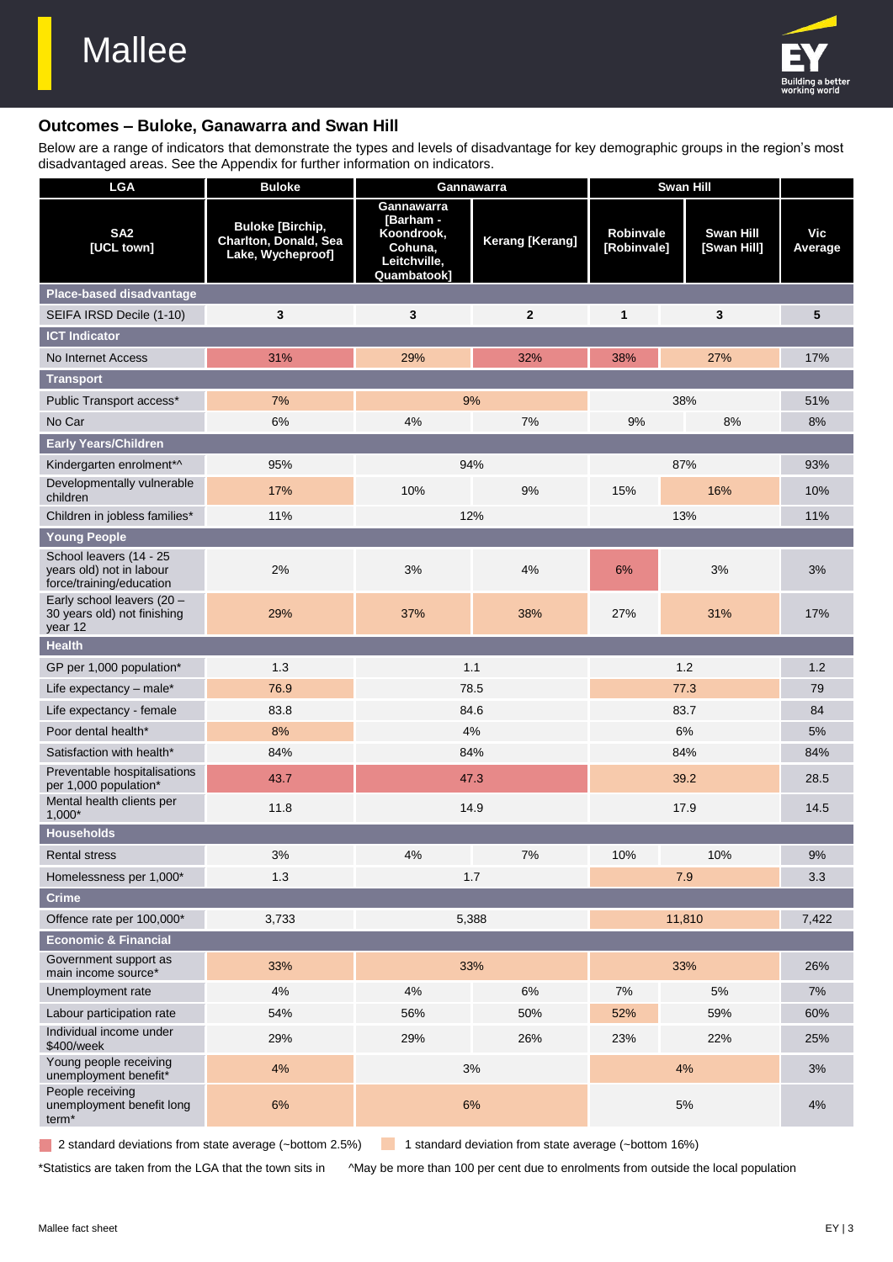

## **Outcomes – Buloke, Ganawarra and Swan Hill**

Below are a range of indicators that demonstrate the types and levels of disadvantage for key demographic groups in the region's most disadvantaged areas. See the Appendix for further information on indicators.

| <b>LGA</b>                                                                      | <b>Buloke</b>                                                         |                                                                                 | Gannawarra             | <b>Swan Hill</b>                |                                 |                |
|---------------------------------------------------------------------------------|-----------------------------------------------------------------------|---------------------------------------------------------------------------------|------------------------|---------------------------------|---------------------------------|----------------|
| SA <sub>2</sub><br>[UCL town]                                                   | <b>Buloke [Birchip,</b><br>Charlton, Donald, Sea<br>Lake, Wycheproof] | Gannawarra<br>[Barham -<br>Koondrook,<br>Cohuna,<br>Leitchville,<br>Quambatook] | <b>Kerang [Kerang]</b> | <b>Robinvale</b><br>[Robinvale] | <b>Swan Hill</b><br>[Swan Hill] | Vic<br>Average |
| Place-based disadvantage                                                        |                                                                       |                                                                                 |                        |                                 |                                 |                |
| SEIFA IRSD Decile (1-10)                                                        | 3                                                                     | 3                                                                               | $\overline{2}$         | $\mathbf{1}$                    | 3                               | 5              |
| <b>ICT Indicator</b>                                                            |                                                                       |                                                                                 |                        |                                 |                                 |                |
| No Internet Access                                                              | 31%                                                                   | 29%                                                                             | 32%                    | 38%                             | 27%                             | 17%            |
| <b>Transport</b>                                                                |                                                                       |                                                                                 |                        |                                 |                                 |                |
| Public Transport access*                                                        | 7%                                                                    |                                                                                 | 9%                     |                                 | 38%                             | 51%            |
| No Car                                                                          | 6%                                                                    | 4%                                                                              | 7%                     | 9%                              | 8%                              | 8%             |
| <b>Early Years/Children</b>                                                     |                                                                       |                                                                                 |                        |                                 |                                 |                |
| Kindergarten enrolment*^                                                        | 95%                                                                   |                                                                                 | 94%                    |                                 | 87%                             | 93%            |
| Developmentally vulnerable<br>children                                          | 17%                                                                   | 10%                                                                             | 9%                     | 15%                             | 16%                             | 10%            |
| Children in jobless families*                                                   | 11%                                                                   |                                                                                 | 12%                    |                                 | 13%                             | 11%            |
| <b>Young People</b>                                                             |                                                                       |                                                                                 |                        |                                 |                                 |                |
| School leavers (14 - 25<br>years old) not in labour<br>force/training/education | 2%                                                                    | 3%                                                                              | 4%                     | 6%                              | 3%                              | 3%             |
| Early school leavers (20 -<br>30 years old) not finishing<br>year 12            | 29%                                                                   | 37%                                                                             | 38%                    | 27%                             | 31%                             | 17%            |
| <b>Health</b>                                                                   |                                                                       |                                                                                 |                        |                                 |                                 |                |
| GP per 1,000 population*                                                        | 1.3                                                                   |                                                                                 | 1.1                    |                                 | 1.2                             | 1.2            |
| Life expectancy - male*                                                         | 76.9                                                                  |                                                                                 | 78.5                   |                                 | 77.3                            | 79             |
| Life expectancy - female                                                        | 83.8                                                                  |                                                                                 | 84.6                   |                                 | 83.7                            | 84             |
| Poor dental health*                                                             | 8%                                                                    |                                                                                 | 4%                     |                                 | 6%                              | $5%$           |
| Satisfaction with health*                                                       | 84%                                                                   |                                                                                 | 84%                    |                                 | 84%                             | 84%            |
| Preventable hospitalisations<br>per 1,000 population*                           | 43.7                                                                  |                                                                                 | 47.3                   |                                 | 39.2                            | 28.5           |
| Mental health clients per<br>$1,000*$                                           | 11.8                                                                  |                                                                                 | 14.9                   |                                 | 17.9                            | 14.5           |
| <b>Households</b>                                                               |                                                                       |                                                                                 |                        |                                 |                                 |                |
| <b>Rental stress</b>                                                            | $3%$                                                                  | 4%                                                                              | $7\%$                  | 10%                             | 10%                             | $9\%$          |
| Homelessness per 1,000*                                                         | 1.3                                                                   |                                                                                 | 1.7                    |                                 | 7.9                             | 3.3            |
| <b>Crime</b>                                                                    |                                                                       |                                                                                 |                        |                                 |                                 |                |
| Offence rate per 100,000*                                                       | 3,733                                                                 |                                                                                 | 5,388                  |                                 | 11,810                          | 7,422          |
| <b>Economic &amp; Financial</b>                                                 |                                                                       |                                                                                 |                        |                                 |                                 |                |
| Government support as<br>main income source*                                    | 33%                                                                   |                                                                                 | 33%                    |                                 | 33%                             | 26%            |
| Unemployment rate                                                               | 4%                                                                    | 4%                                                                              | $6\%$                  | 7%                              | $5\%$                           | $7\%$          |
| Labour participation rate                                                       | 54%                                                                   | 56%                                                                             | 50%                    | 52%                             | 59%                             | 60%            |
| Individual income under<br>\$400/week                                           | 29%                                                                   | 29%                                                                             | 26%                    | 23%                             | 22%                             | 25%            |
| Young people receiving<br>unemployment benefit*                                 | 4%                                                                    |                                                                                 | 3%                     |                                 | 4%                              | 3%             |
| People receiving<br>unemployment benefit long<br>term <sup>*</sup>              | 6%                                                                    |                                                                                 | 6%                     |                                 | $5\%$                           | 4%             |

<sup>2</sup> 2 standard deviations from state average (~bottom 2.5%) <sup>1</sup> 1 standard deviation from state average (~bottom 16%)

\*Statistics are taken from the LGA that the town sits in ^May be more than 100 per cent due to enrolments from outside the local population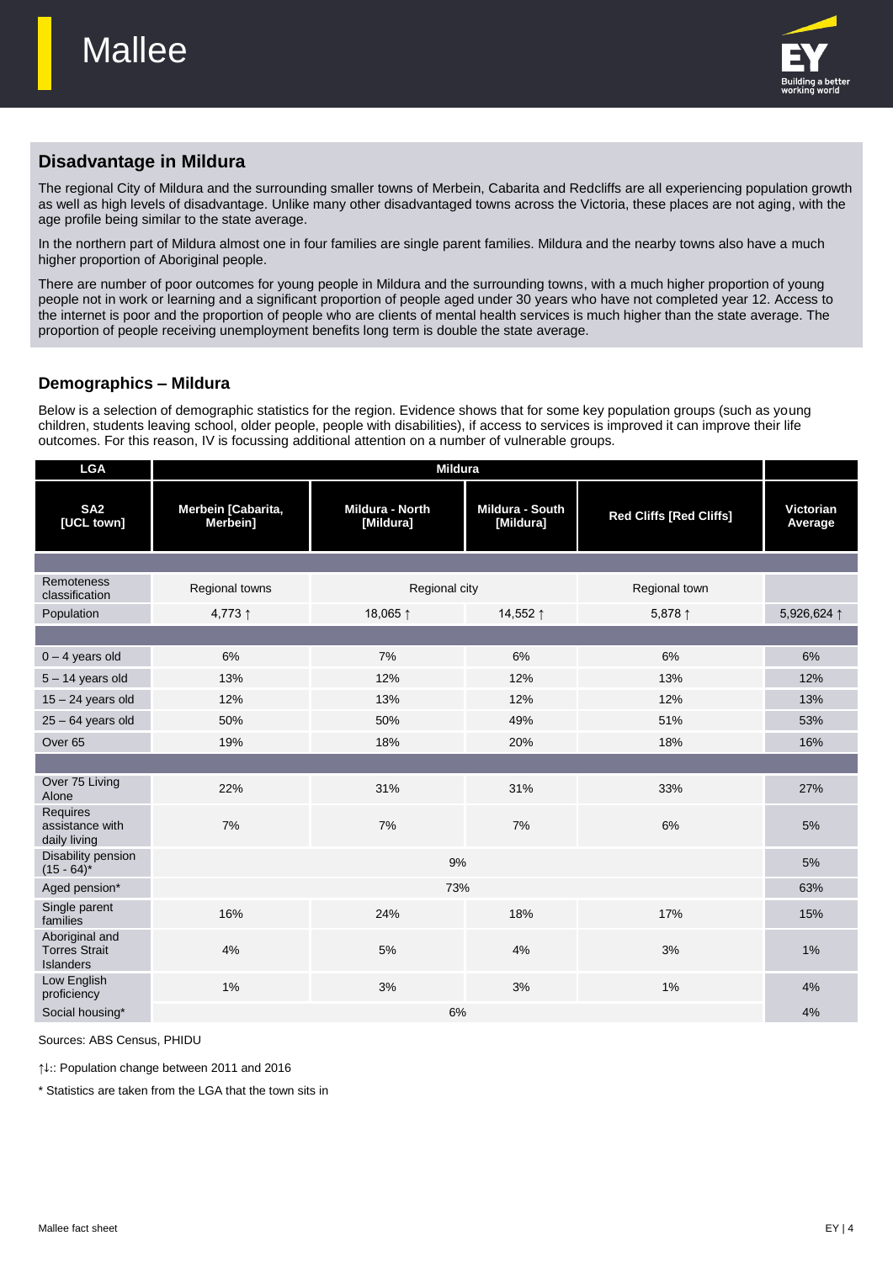

# **Disadvantage in Mildura**

The regional City of Mildura and the surrounding smaller towns of Merbein, Cabarita and Redcliffs are all experiencing population growth as well as high levels of disadvantage. Unlike many other disadvantaged towns across the Victoria, these places are not aging, with the age profile being similar to the state average.

In the northern part of Mildura almost one in four families are single parent families. Mildura and the nearby towns also have a much higher proportion of Aboriginal people.

There are number of poor outcomes for young people in Mildura and the surrounding towns, with a much higher proportion of young people not in work or learning and a significant proportion of people aged under 30 years who have not completed year 12. Access to the internet is poor and the proportion of people who are clients of mental health services is much higher than the state average. The proportion of people receiving unemployment benefits long term is double the state average.

## **Demographics – Mildura**

Below is a selection of demographic statistics for the region. Evidence shows that for some key population groups (such as young children, students leaving school, older people, people with disabilities), if access to services is improved it can improve their life outcomes. For this reason, IV is focussing additional attention on a number of vulnerable groups.

| <b>LGA</b>                                          | <b>Mildura</b>                 |                              |                              |                                |                      |
|-----------------------------------------------------|--------------------------------|------------------------------|------------------------------|--------------------------------|----------------------|
| SA <sub>2</sub><br>[UCL town]                       | Merbein [Cabarita,<br>Merbein] | Mildura - North<br>[Mildura] | Mildura - South<br>[Mildura] | <b>Red Cliffs [Red Cliffs]</b> | Victorian<br>Average |
|                                                     |                                |                              |                              |                                |                      |
| <b>Remoteness</b><br>classification                 | Regional towns                 | Regional city                |                              | Regional town                  |                      |
| Population                                          | 4,773↑                         | 18,065 ↑                     | 14,552 ↑                     | 5,878 ↑                        | 5,926,624 1          |
|                                                     |                                |                              |                              |                                |                      |
| $0 - 4$ years old                                   | 6%                             | 7%                           | 6%                           | 6%                             | 6%                   |
| $5 - 14$ years old                                  | 13%                            | 12%                          | 12%                          | 13%                            | 12%                  |
| $15 - 24$ years old                                 | 12%                            | 13%                          | 12%                          | 12%                            | 13%                  |
| $25 - 64$ years old                                 | 50%                            | 50%                          | 49%                          | 51%                            | 53%                  |
| Over <sub>65</sub>                                  | 19%                            | 18%                          | 20%                          | 18%                            | 16%                  |
|                                                     |                                |                              |                              |                                |                      |
| Over 75 Living<br>Alone                             | 22%                            | 31%                          | 31%                          | 33%                            | 27%                  |
| <b>Requires</b><br>assistance with<br>daily living  | 7%                             | 7%                           | 7%                           | 6%                             | 5%                   |
| Disability pension<br>$(15 - 64)^*$                 | 9%                             |                              |                              |                                |                      |
| Aged pension*                                       |                                | 73%                          |                              |                                | 63%                  |
| Single parent<br>families                           | 16%                            | 24%                          | 18%                          | 17%                            | 15%                  |
| Aboriginal and<br><b>Torres Strait</b><br>Islanders | 4%                             | 5%                           | 4%                           | 3%                             | 1%                   |
| Low English<br>proficiency                          | 1%                             | 3%                           | 3%                           | 1%                             | 4%                   |
| Social housing*                                     |                                | 6%                           |                              |                                | 4%                   |

Sources: ABS Census, PHIDU

↑↓:: Population change between 2011 and 2016

\* Statistics are taken from the LGA that the town sits in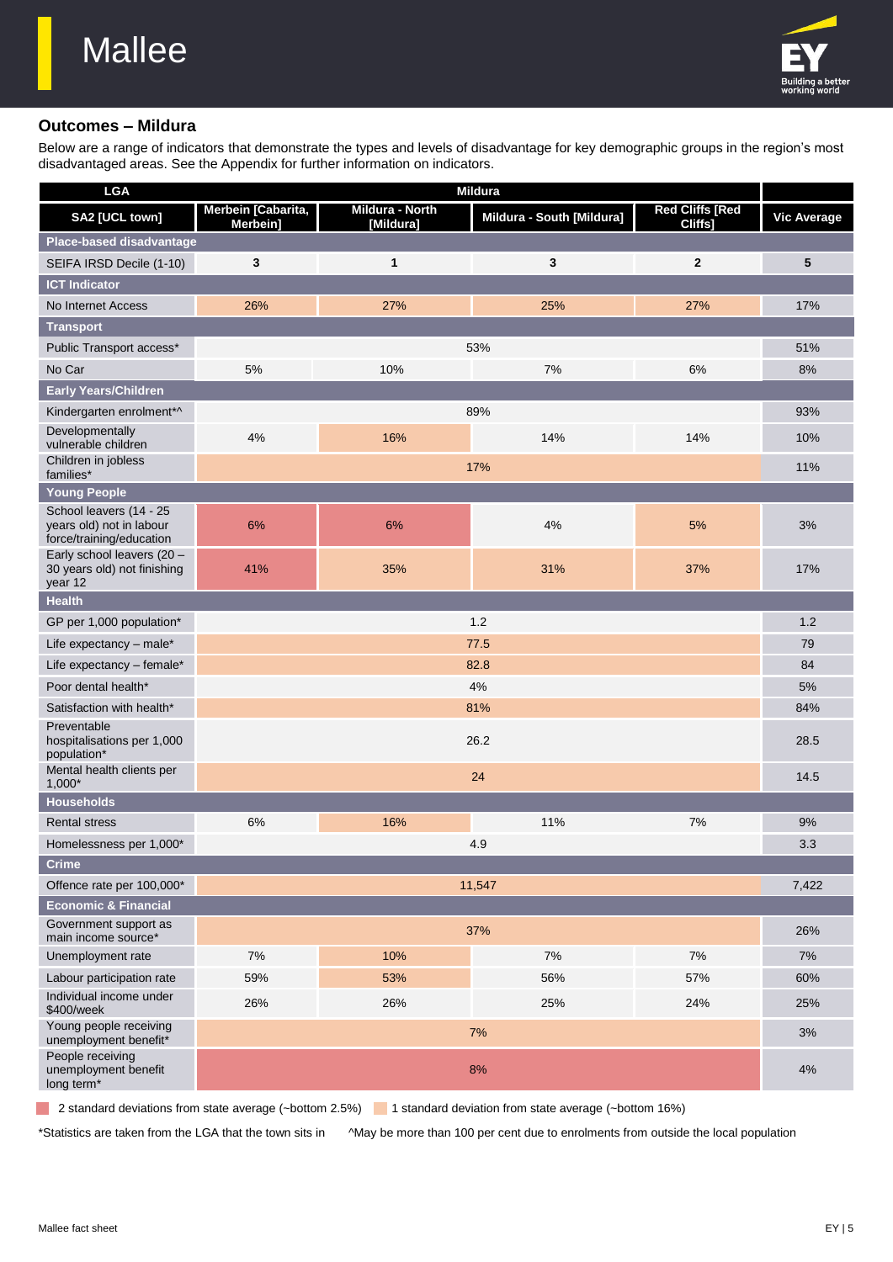

#### **Outcomes – Mildura**

Below are a range of indicators that demonstrate the types and levels of disadvantage for key demographic groups in the region's most disadvantaged areas. See the Appendix for further information on indicators.

| <b>LGA</b>                                                                      | <b>Mildura</b>                 |                              |                           |                                   |                    |
|---------------------------------------------------------------------------------|--------------------------------|------------------------------|---------------------------|-----------------------------------|--------------------|
| SA2 [UCL town]                                                                  | Merbein [Cabarita,<br>Merbein] | Mildura - North<br>[Mildura] | Mildura - South [Mildura] | <b>Red Cliffs [Red</b><br>Cliffs] | <b>Vic Average</b> |
| Place-based disadvantage                                                        |                                |                              |                           |                                   |                    |
| SEIFA IRSD Decile (1-10)                                                        | 3                              | 1                            | 3                         | $\mathbf{2}$                      | 5                  |
| <b>ICT Indicator</b>                                                            |                                |                              |                           |                                   |                    |
| No Internet Access                                                              | 26%                            | 27%                          | 25%                       | 27%                               | 17%                |
| <b>Transport</b>                                                                |                                |                              |                           |                                   |                    |
| Public Transport access*                                                        |                                |                              | 53%                       |                                   | 51%                |
| No Car                                                                          | 5%                             | 10%                          | 7%                        | 6%                                | $8%$               |
| Early Years/Children                                                            |                                |                              |                           |                                   |                    |
| Kindergarten enrolment*^                                                        |                                |                              | 89%                       |                                   | 93%                |
| Developmentally<br>vulnerable children                                          | 4%                             | 16%                          | 14%                       | 14%                               | 10%                |
| Children in jobless<br>families*                                                |                                |                              | 17%                       |                                   | 11%                |
| <b>Young People</b>                                                             |                                |                              |                           |                                   |                    |
| School leavers (14 - 25<br>years old) not in labour<br>force/training/education | 6%                             | 6%                           | 4%                        | 5%                                | 3%                 |
| Early school leavers (20 -<br>30 years old) not finishing<br>year 12            | 41%                            | 35%                          | 31%                       | 37%                               | 17%                |
| <b>Health</b>                                                                   |                                |                              |                           |                                   |                    |
| GP per 1,000 population*                                                        |                                |                              | 1.2                       |                                   | 1.2                |
| Life expectancy - male*                                                         |                                |                              | 77.5                      |                                   | 79                 |
| Life expectancy - female*                                                       | 82.8                           |                              |                           |                                   | 84                 |
| Poor dental health*                                                             |                                |                              | 4%                        |                                   | $5%$               |
| Satisfaction with health*                                                       |                                |                              | 81%                       |                                   | 84%                |
| Preventable<br>hospitalisations per 1,000<br>population*                        | 26.2                           |                              |                           |                                   |                    |
| Mental health clients per<br>$1,000*$                                           |                                |                              | 24                        |                                   | 14.5               |
| <b>Households</b>                                                               |                                |                              |                           |                                   |                    |
| <b>Rental stress</b>                                                            | 6%                             | 16%                          | 11%                       | 7%                                | 9%                 |
| Homelessness per 1,000*                                                         |                                |                              | 4.9                       |                                   | 3.3                |
| <b>Crime</b>                                                                    |                                |                              |                           |                                   |                    |
| Offence rate per 100,000*                                                       |                                |                              | 11,547                    |                                   | 7,422              |
| <b>Economic &amp; Financial</b>                                                 |                                |                              |                           |                                   |                    |
| Government support as<br>main income source*                                    |                                |                              | 37%                       |                                   | 26%                |
| Unemployment rate                                                               | 7%                             | 10%                          | $7\%$                     | 7%                                | $7\%$              |
| Labour participation rate                                                       | 59%                            | 53%                          | 56%                       | 57%                               | 60%                |
| Individual income under<br>\$400/week                                           | 26%                            | 26%                          | 25%                       | 24%                               | 25%                |
| Young people receiving<br>unemployment benefit*                                 |                                |                              | 7%                        |                                   | 3%                 |
| People receiving<br>unemployment benefit<br>long term*                          |                                |                              | 8%                        |                                   | 4%                 |

<sup>2</sup> 2 standard deviations from state average (~bottom 2.5%) <sup>1</sup> standard deviation from state average (~bottom 16%)

\*Statistics are taken from the LGA that the town sits in ^May be more than 100 per cent due to enrolments from outside the local population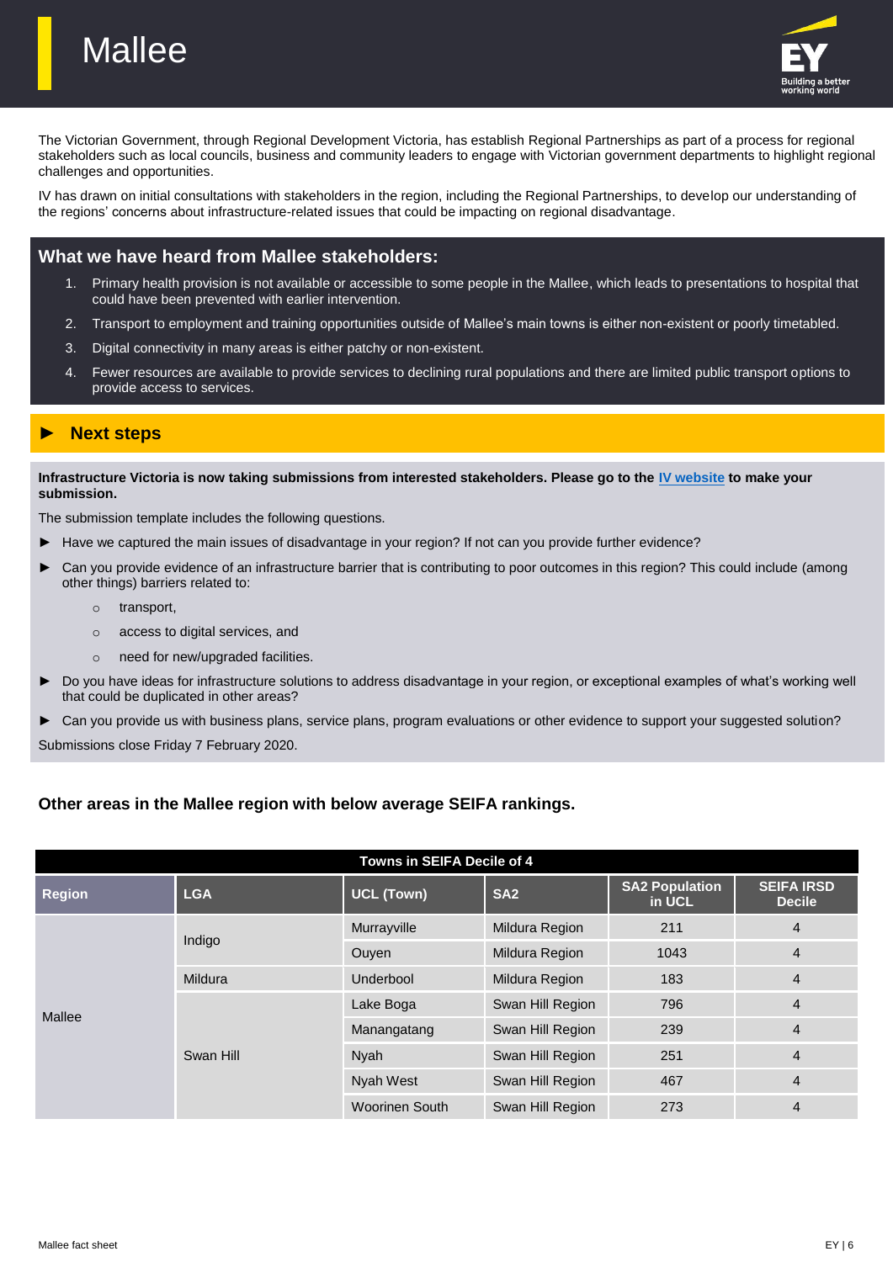

The Victorian Government, through Regional Development Victoria, has establish Regional Partnerships as part of a process for regional stakeholders such as local councils, business and community leaders to engage with Victorian government departments to highlight regional challenges and opportunities.

IV has drawn on initial consultations with stakeholders in the region, including the Regional Partnerships, to develop our understanding of the regions' concerns about infrastructure-related issues that could be impacting on regional disadvantage.

#### **What we have heard from Mallee stakeholders:**

- 1. Primary health provision is not available or accessible to some people in the Mallee, which leads to presentations to hospital that could have been prevented with earlier intervention.
- 2. Transport to employment and training opportunities outside of Mallee's main towns is either non-existent or poorly timetabled.
- 3. Digital connectivity in many areas is either patchy or non-existent.
- 4. Fewer resources are available to provide services to declining rural populations and there are limited public transport options to provide access to services.

## ► **Next steps**

**Mallee** 

**Infrastructure Victoria is now taking submissions from interested stakeholders. Please go to the [IV website](http://www.infrastructurevictoria.com.au/haveyoursay/) to make your submission.**

The submission template includes the following questions.

- ► Have we captured the main issues of disadvantage in your region? If not can you provide further evidence?
- ► Can you provide evidence of an infrastructure barrier that is contributing to poor outcomes in this region? This could include (among other things) barriers related to:
	- o transport,
	- o access to digital services, and
	- o need for new/upgraded facilities.
- ► Do you have ideas for infrastructure solutions to address disadvantage in your region, or exceptional examples of what's working well that could be duplicated in other areas?
- ► Can you provide us with business plans, service plans, program evaluations or other evidence to support your suggested solution?

Submissions close Friday 7 February 2020.

#### **Other areas in the Mallee region with below average SEIFA rankings.**

| Towns in SEIFA Decile of 4 |            |                       |                  |                                 |                                    |  |
|----------------------------|------------|-----------------------|------------------|---------------------------------|------------------------------------|--|
| <b>Region</b>              | <b>LGA</b> | <b>UCL (Town)</b>     | SA <sub>2</sub>  | <b>SA2 Population</b><br>in UCL | <b>SEIFA IRSD</b><br><b>Decile</b> |  |
|                            | Indigo     | Murrayville           | Mildura Region   | 211                             | 4                                  |  |
|                            |            | Ouven                 | Mildura Region   | 1043                            | 4                                  |  |
|                            | Mildura    | Underbool             | Mildura Region   | 183                             | $\overline{4}$                     |  |
| Mallee                     | Swan Hill  | Lake Boga             | Swan Hill Region | 796                             | 4                                  |  |
|                            |            | Manangatang           | Swan Hill Region | 239                             | 4                                  |  |
|                            |            | <b>Nyah</b>           | Swan Hill Region | 251                             | 4                                  |  |
|                            |            | Nyah West             | Swan Hill Region | 467                             | $\overline{4}$                     |  |
|                            |            | <b>Woorinen South</b> | Swan Hill Region | 273                             | 4                                  |  |